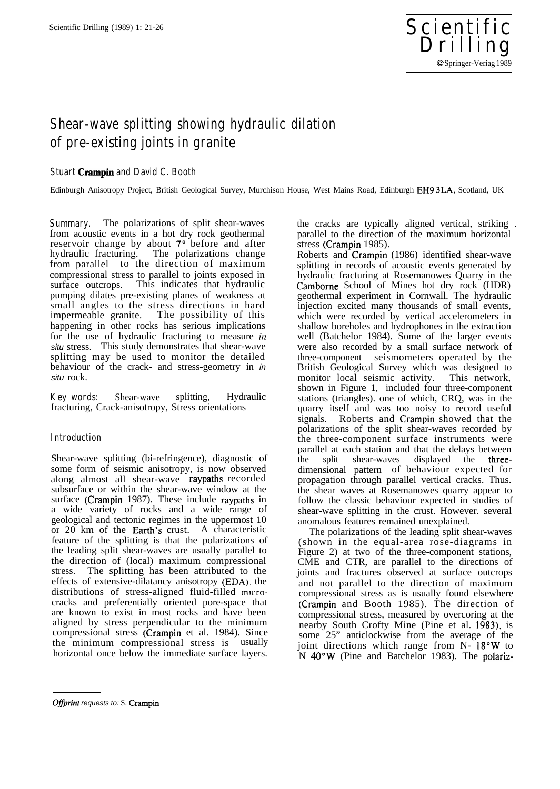

# **Shear-wave splitting showing hydraulic dilation of pre-existing joints in granite**

## **Stuart Crampin and David C. Booth**

Edinburgh Anisotropy Project, British Geological Survey, Murchison House, West Mains Road, Edinburgh EH9 3LA, Scotland, UK

**Summary.** The polarizations of split shear-waves from acoustic events in a hot dry rock geothermal reservoir change by about 7° before and after hydraulic fracturing. The polarizations change from parallel to the direction of maximum compressional stress to parallel to joints exposed in surface outcrops. This indicates that hydraulic pumping dilates pre-existing planes of weakness at small angles to the stress directions in hard impermeable granite. The possibility of this happening in other rocks has serious implications for the use of hydraulic fracturing to measure *in situ* stress. This study demonstrates that shear-wave splitting may be used to monitor the detailed behaviour of the crack- and stress-geometry in *in situ* rock.

**Key words:** Shear-wave splitting, Hydraulic fracturing, Crack-anisotropy, Stress orientations

## **Introduction**

Shear-wave splitting (bi-refringence), diagnostic of some form of seismic anisotropy, is now observed along almost all shear-wave raypaths recorded subsurface or within the shear-wave window at the surface (Crampin 1987). These include raypaths in a wide variety of rocks and a wide range of geological and tectonic regimes in the uppermost 10 or 20 km of the .Earth's crust. A characteristic feature of the splitting is that the polarizations of the leading split shear-waves are usually parallel to the direction of (local) maximum compressional stress. The splitting has been attributed to the effects of extensive-dilatancy anisotropy (EDA). the distributions of stress-aligned fluid-filled microcracks and preferentially oriented pore-space that are known to exist in most rocks and have been aligned by stress perpendicular to the minimum compressional stress (Crampin et al. 1984). Since the minimum compressional stress is usually horizontal once below the immediate surface layers.

the cracks are typically aligned vertical, striking . parallel to the direction of the maximum horizontal stress (Crampin 1985).

Roberts and Crampin (1986) identified shear-wave splitting in records of acoustic events generated by hydraulic fracturing at Rosemanowes Quarry in the Camborne School of Mines hot dry rock (HDR) geothermal experiment in Cornwall. The hydraulic injection excited many thousands of small events, which were recorded by vertical accelerometers in shallow boreholes and hydrophones in the extraction well (Batchelor 1984). Some of the larger events were also recorded by a small surface network of three-component seismometers operated by the British Geological Survey which was designed to monitor local seismic activity. This network, shown in Figure 1, included four three-component stations (triangles). one of which, CRQ, was in the quarry itself and was too noisy to record useful signals. Roberts and Crampin showed that the polarizations of the split shear-waves recorded by the three-component surface instruments were parallel at each station and that the delays between the split shear-waves displayed the threedimensional pattern of behaviour expected for propagation through parallel vertical cracks. Thus. the shear waves at Rosemanowes quarry appear to follow the classic behaviour expected in studies of shear-wave splitting in the crust. However. several anomalous features remained unexplained.

The polarizations of the leading split shear-waves (shown in the equal-area rose-diagrams in Figure 2) at two of the three-component stations, CME and CTR, are parallel to the directions of joints and fractures observed at surface outcrops and not parallel to the direction of maximum compressional stress as is usually found elsewhere (Crampin and Booth 1985). The direction of compressional stress, measured by overcoring at the nearby South Crofty Mine (Pine et al. 1983), is some 25" anticlockwise from the average of the joint directions which range from N- 18°W to N 4O"W (Pine and Batchelor 1983). The polariz-

**Offprint requests to: S. Crampin**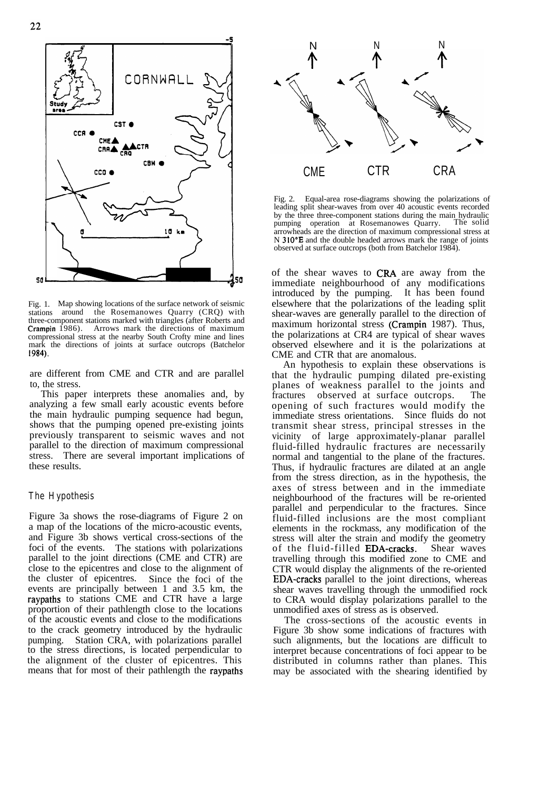

Fig. 1. Map showing locations of the surface network of seismic stations around the Rosemanowes Quarry (CRQ) with three-component stations marked with triangles (after Roberts and Crampin 1986). Arrows mark the directions of maximum compressional stress at the nearby South Crofty mine and lines mark the directions of joints at surface outcrops (Batchelor 1984).

are different from CME and CTR and are parallel to, the stress.

This paper interprets these anomalies and, by analyzing a few small early acoustic events before the main hydraulic pumping sequence had begun, shows that the pumping opened pre-existing joints previously transparent to seismic waves and not parallel to the direction of maximum compressional stress. There are several important implications of these results.

### **The Hypothesis**

Figure 3a shows the rose-diagrams of Figure 2 on a map of the locations of the micro-acoustic events, and Figure 3b shows vertical cross-sections of the foci of the events. The stations with polarizations parallel to the joint directions (CME and CTR) are close to the epicentres and close to the alignment of the cluster of epicentres. Since the foci of the events are principally between 1 and 3.5 km, the raypaths to stations CME and CTR have a large proportion of their pathlength close to the locations of the acoustic events and close to the modifications to the crack geometry introduced by the hydraulic pumping. Station CRA, with polarizations parallel to the stress directions, is located perpendicular to the alignment of the cluster of epicentres. This means that for most of their pathlength the raypaths



Fig. 2. Equal-area rose-diagrams showing the polarizations of leading split shear-waves from over 40 acoustic events recorded by the three three-component stations during the main hydraulic pumping operation at Rosemanowes Quarry. The solid pumping operation at Rosemanowes Quarry. arrowheads are the direction of maximum compressional stress at N 310°E and the double headed arrows mark the range of joints observed at surface outcrops (both from Batchelor 1984).

of the shear waves to CRA are away from the immediate neighbourhood of any modifications introduced by the pumping. It has been found elsewhere that the polarizations of the leading split shear-waves are generally parallel to the direction of maximum horizontal stress (Crampin 1987). Thus, the polarizations at CR4 are typical of shear waves observed elsewhere and it is the polarizations at CME and CTR that are anomalous.

An hypothesis to explain these observations is that the hydraulic pumping dilated pre-existing planes of weakness parallel to the joints and fractures observed at surface outcrops. The opening of such fractures would modify the immediate stress orientations. Since fluids do not transmit shear stress, principal stresses in the vicinity of large approximately-planar parallel fluid-filled hydraulic fractures are necessarily normal and tangential to the plane of the fractures. Thus, if hydraulic fractures are dilated at an angle from the stress direction, as in the hypothesis, the axes of stress between and in the immediate neighbourhood of the fractures will be re-oriented parallel and perpendicular to the fractures. Since fluid-filled inclusions are the most compliant elements in the rockmass, any modification of the stress will alter the strain and modify the geometry of the fluid-filled **EDA-cracks**. Shear waves travelling through this modified zone to CME and CTR would display the alignments of the re-oriented EDA-cracks parallel to the joint directions, whereas shear waves travelling through the unmodified rock to CRA would display polarizations parallel to the unmodified axes of stress as is observed.

The cross-sections of the acoustic events in Figure 3b show some indications of fractures with such alignments, but the locations are difficult to interpret because concentrations of foci appear to be distributed in columns rather than planes. This may be associated with the shearing identified by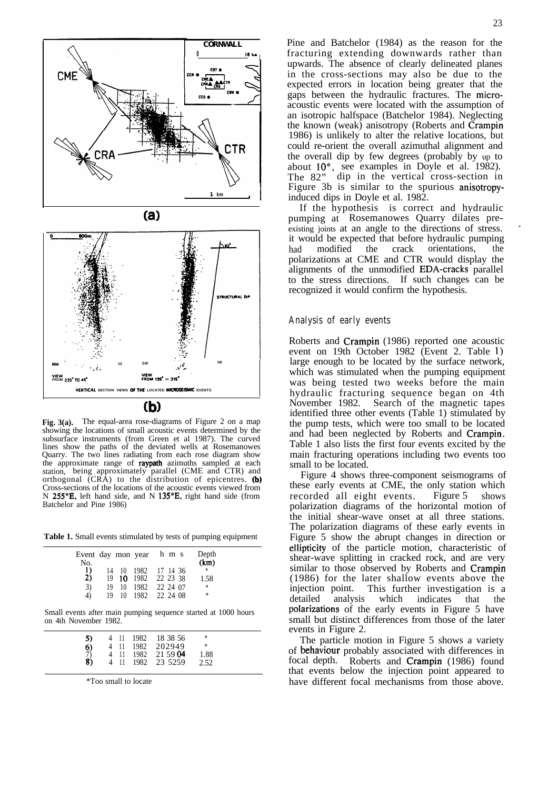

(b)

Fig. 3(a). The equal-area rose-diagrams of Figure 2 on a map showing the locations of small acoustic events determined by the subsurface instruments (from Green et al 1987). The curved lines show the paths of the deviated wells at Rosemanowes Quarry. The two lines radiating from each rose diagram show the approximate range of raypath azimuths sampled at each station, being approximately parallel (CME and CTR) and orthogonal (CRA) to the distribution of epicentres. (b) Cross-sections of the locations of the acoustic events viewed from N 255°E, left hand side, and N 135°E, right hand side (from Batchelor and Pine 1986)

**Table 1.** Small events stimulated by tests of pumping equipment

| Event day mon year h m s<br>No. |          |      |                                                                                 |  | Depth<br>(km)         |  |
|---------------------------------|----------|------|---------------------------------------------------------------------------------|--|-----------------------|--|
| I)<br>2)<br>3)<br>4)            | 14<br>19 | - 10 | 10 1982 17 14 36<br>19 10 1982 22 23 38<br>1982 22 24 07<br>19 10 1982 22 24 08 |  | - *<br>1.58<br>*<br>☆ |  |

Small events after main pumping sequence started at 1000 hours on 4th November 1982.

| 5)                  |      | 4 11 1982 | 18 38 56         | *    |  |
|---------------------|------|-----------|------------------|------|--|
|                     |      |           | 4 11 1982 202949 | *    |  |
| $\frac{6}{7}$<br>8) | 4 11 |           | 1982 21 59 04    | 1.88 |  |
|                     | 4 11 |           | 1982 23 5259     | 2.52 |  |
|                     |      |           |                  |      |  |

\*Too small to locate

Pine and Batchelor (1984) as the reason for the fracturing extending downwards rather than upwards. The absence of clearly delineated planes in the cross-sections may also be due to the expected errors in location being greater that the gaps between the hydraulic fractures. The microacoustic events were located with the assumption of an isotropic halfspace (Batchelor 1984). Neglecting the known (weak) anisotropy (Roberts and Crampin 1986) is unlikely to alter the relative locations, but could re-orient the overall azimuthal alignment and the overall dip by few degrees (probably by up to about 10°, see examples in Doyle et al. 1982). The 82" dip in the vertical cross-section in Figure 3b is similar to the spurious anisotropyinduced dips in Doyle et al. 1982.

If the hypothesis is correct and hydraulic pumping at Rosemanowes Quarry dilates preexisting joints at an angle to the directions of stress. it would be expected that before hydraulic pumping had modified the crack orientations, the polarizations at CME and CTR would display the alignments of the unmodified EDA-cracks parallel to the stress directions. If such changes can be recognized it would confirm the hypothesis.

#### **Analysis of early events**

Roberts and Crampin (1986) reported one acoustic event on 19th October 1982 (Event 2. Table 1) large enough to be located by the surface network, which was stimulated when the pumping equipment was being tested two weeks before the main hydraulic fracturing sequence began on 4th November 1982. Search of the magnetic tapes identified three other events (Table 1) stimulated by the pump tests, which were too small to be located and had been neglected by Roberts and Crampin. Table 1 also lists the first four events excited by the main fracturing operations including two events too small to be located.

Figure 4 shows three-component seismograms of these early events at CME, the only station which recorded all eight events. Figure 5 shows polarization diagrams of the horizontal motion of the initial shear-wave onset at all three stations. The polarization diagrams of these early events in Figure 5 show the abrupt changes in direction or ellipticity of the particle motion, characteristic of shear-wave splitting in cracked rock, and are very similar to those observed by Roberts and Crampin (1986) for the later shallow events above the injection point. This further investigation is a detailed analysis which indicates that the polarizations of the early events in Figure 5 have small but distinct differences from those of the later events in Figure 2.

The particle motion in Figure 5 shows a variety of behaviour probably associated with differences in focal depth. Roberts and Crampin (1986) found that events below the injection point appeared to have different focal mechanisms from those above.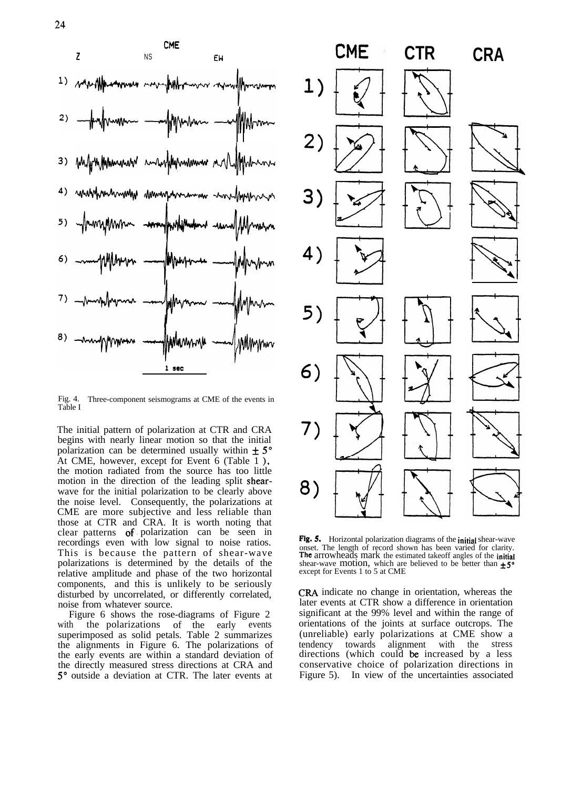

Fig. 4. Three-component seismograms at CME of the events in Table I

The initial pattern of polarization at CTR and CRA begins with nearly linear motion so that the initial polarization can be determined usually within  $\pm 5^{\circ}$ At CME, however, except for Event 6 (Table 1 ), the motion radiated from the source has too little motion in the direction of the leading split shearwave for the initial polarization to be clearly above the noise level. Consequently, the polarizations at CME are more subjective and less reliable than those at CTR and CRA. It is worth noting that clear patterns of. polarization can be seen in recordings even with low signal to noise ratios. This is because the pattern of shear-wave polarizations is determined by the details of the relative amplitude and phase of the two horizontal components, and this is unlikely to be seriously disturbed by uncorrelated, or differently correlated, noise from whatever source.

Figure 6 shows the rose-diagrams of Figure 2 with the polarizations of the early events superimposed as solid petals. Table 2 summarizes the alignments in Figure 6. The polarizations of the early events are within a standard deviation of the directly measured stress directions at CRA and 5" outside a deviation at CTR. The later events at



Fig. 5. Horizontal polarization diagrams of the initial shear-wave onset. The length of record shown has been varied for clarity. The arrowheads mark the estimated takeoff angles of the *initial* shear-wave motion, which are believed to be better than  $\pm 5^\circ$  except for Events 1 to 5 at CME

CRA indicate no change in orientation, whereas the later events at CTR show a difference in orientation significant at the 99% level and within the range of orientations of the joints at surface outcrops. The (unreliable) early polarizations at CME show a tendency towards alignment with the stress directions (which could be increased by a less conservative choice of polarization directions in Figure 5). In view of the uncertainties associated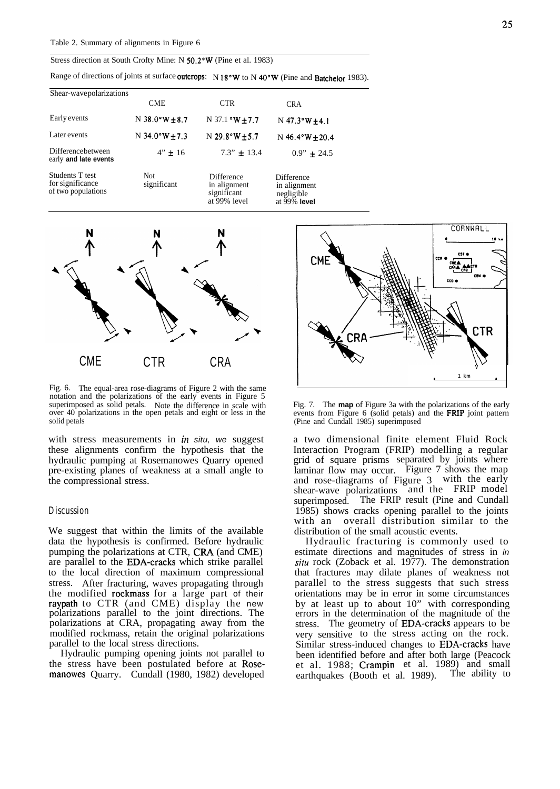#### Stress direction at South Crofty Mine: N 50.2"W (Pine et al. 1983)

Range of directions of joints at surface outcrops: N 18°W to N 40°W (Pine and Batchelor 1983).

| Shear-wavepolarizations                                   |                           |                                                           |                                                             |
|-----------------------------------------------------------|---------------------------|-----------------------------------------------------------|-------------------------------------------------------------|
|                                                           | <b>CME</b>                | <b>CTR</b>                                                | <b>CRA</b>                                                  |
| Early events                                              | N 38.0°W $\pm$ 8.7        | N 37.1 $\textdegree W + 7.7$                              | $N$ 47.3°W + 4.1                                            |
| Later events                                              | $N$ 34.0°W $\pm$ 7.3      | $N$ 29.8°W $\pm$ 5.7                                      | N $46.4^{\circ}W + 20.4$                                    |
| Differencebetween<br>early and late events                | $4" \pm 16$               | $7.3" + 13.4$                                             | $0.9" + 24.5$                                               |
| Students T test<br>for significance<br>of two populations | <b>Not</b><br>significant | Difference<br>in alignment<br>significant<br>at 99% level | Difference<br>in alignment<br>negligible<br>at $99\%$ level |



Fig. 6. The equal-area rose-diagrams of Figure 2 with the same notation and the polarizations of the early events in Figure 5 superimposed as solid petals. Note the difference in scale with over 40 polarizations in the open petals and eight or less in the solid petals

with stress measurements in *in situ, we* suggest these alignments confirm the hypothesis that the hydraulic pumping at Rosemanowes Quarry opened pre-existing planes of weakness at a small angle to the compressional stress.

#### **Discussion**

We suggest that within the limits of the available data the hypothesis is confirmed. Before hydraulic pumping the polarizations at CTR, CRA (and CME) are parallel to the EDA-cracks which strike parallel to the local direction of maximum compressional stress. After fracturing, waves propagating through the modified rockmass for a large part of their raypath to CTR (and CME) display the new polarizations parallel to the joint directions. The polarizations at CRA, propagating away from the modified rockmass, retain the original polarizations parallel to the local stress directions.

Hydraulic pumping opening joints not parallel to the stress have been postulated before at Rosemanowes Quarry. Cundall (1980, 1982) developed



Fig. 7. The **map** of Figure 3a with the polarizations of the early events from Figure 6 (solid petals) and the FRIP joint pattern (Pine and Cundall 1985) superimposed

a two dimensional finite element Fluid Rock Interaction Program (FRIP) modelling a regular grid of square prisms separated by joints where laminar flow may occur. Figure 7 shows the map and rose-diagrams of Figure 3 with the early shear-wave polarizations and the FRIP model superimposed. The FRIP result (Pine and Cundall 1985) shows cracks opening parallel to the joints with an overall distribution similar to the distribution of the small acoustic events.

Hydraulic fracturing is commonly used to estimate directions and magnitudes of stress in *in sifu* rock (Zoback et al. 1977). The demonstration that fractures may dilate planes of weakness not parallel to the stress suggests that such stress orientations may be in error in some circumstances by at least up to about 10" with corresponding errors in the determination of the magnitude of the stress. The geometry of EDA-cracks appears to be very sensitive to the stress acting on the rock. Similar stress-induced changes to EDA-cracks have been identified before and after both large (Peacock et al. 1988; Crampin et al. 1989) and small earthquakes (Booth et al. 1989). The ability to